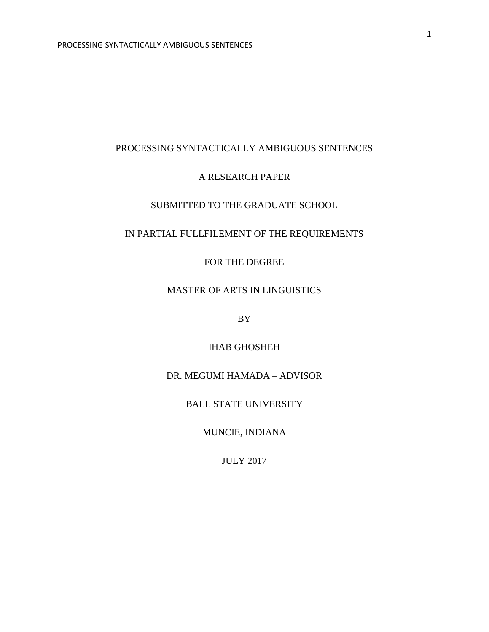# A RESEARCH PAPER

# SUBMITTED TO THE GRADUATE SCHOOL

# IN PARTIAL FULLFILEMENT OF THE REQUIREMENTS

# FOR THE DEGREE

# MASTER OF ARTS IN LINGUISTICS

BY

# IHAB GHOSHEH

# DR. MEGUMI HAMADA – ADVISOR

# BALL STATE UNIVERSITY

MUNCIE, INDIANA

JULY 2017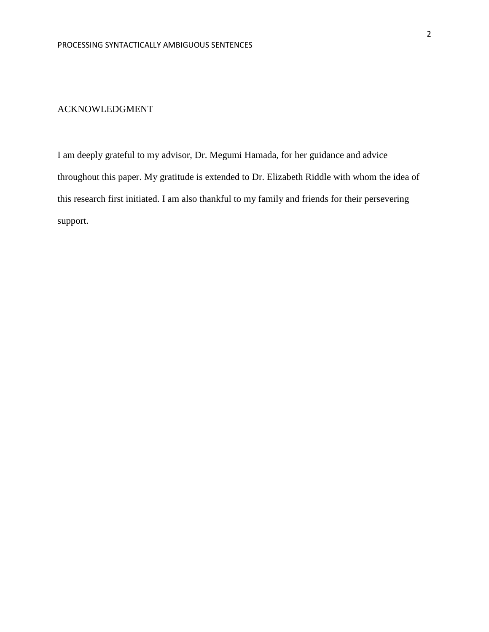## ACKNOWLEDGMENT

I am deeply grateful to my advisor, Dr. Megumi Hamada, for her guidance and advice throughout this paper. My gratitude is extended to Dr. Elizabeth Riddle with whom the idea of this research first initiated. I am also thankful to my family and friends for their persevering support.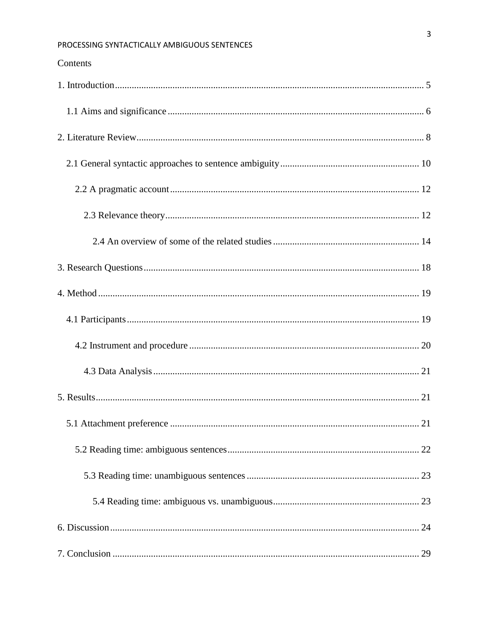# Contents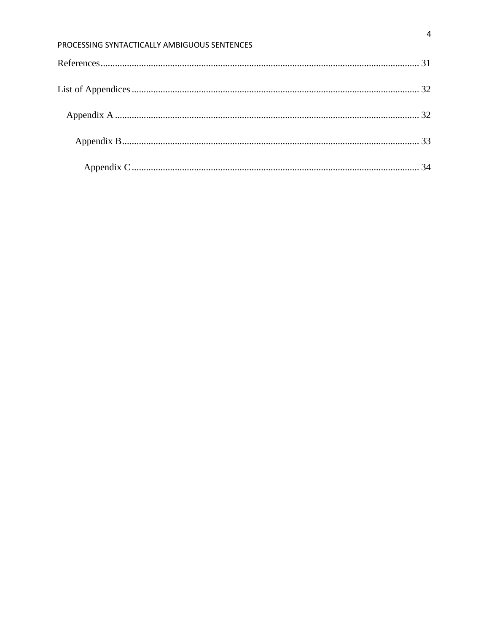| PROCESSING SYNTACTICALLY AMBIGUOUS SENTENCES |  |
|----------------------------------------------|--|
|                                              |  |
|                                              |  |
|                                              |  |
|                                              |  |
|                                              |  |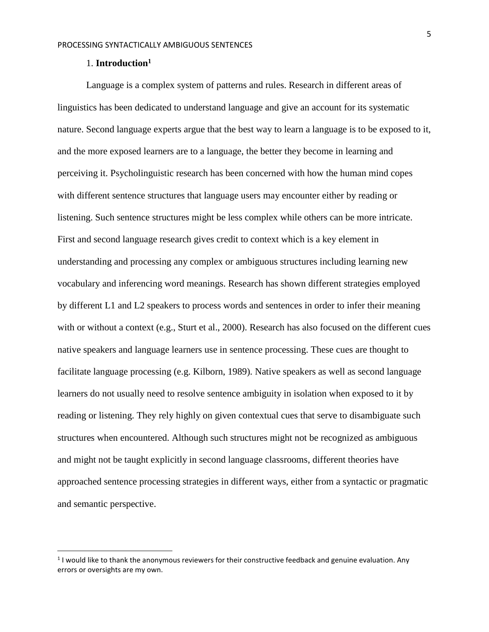#### 1. **Introduction<sup>1</sup>**

 $\overline{\phantom{a}}$ 

<span id="page-4-0"></span>Language is a complex system of patterns and rules. Research in different areas of linguistics has been dedicated to understand language and give an account for its systematic nature. Second language experts argue that the best way to learn a language is to be exposed to it, and the more exposed learners are to a language, the better they become in learning and perceiving it. Psycholinguistic research has been concerned with how the human mind copes with different sentence structures that language users may encounter either by reading or listening. Such sentence structures might be less complex while others can be more intricate. First and second language research gives credit to context which is a key element in understanding and processing any complex or ambiguous structures including learning new vocabulary and inferencing word meanings. Research has shown different strategies employed by different L1 and L2 speakers to process words and sentences in order to infer their meaning with or without a context (e.g., Sturt et al., 2000). Research has also focused on the different cues native speakers and language learners use in sentence processing. These cues are thought to facilitate language processing (e.g. Kilborn, 1989). Native speakers as well as second language learners do not usually need to resolve sentence ambiguity in isolation when exposed to it by reading or listening. They rely highly on given contextual cues that serve to disambiguate such structures when encountered. Although such structures might not be recognized as ambiguous and might not be taught explicitly in second language classrooms, different theories have approached sentence processing strategies in different ways, either from a syntactic or pragmatic and semantic perspective.

 $<sup>1</sup>$  I would like to thank the anonymous reviewers for their constructive feedback and genuine evaluation. Any</sup> errors or oversights are my own.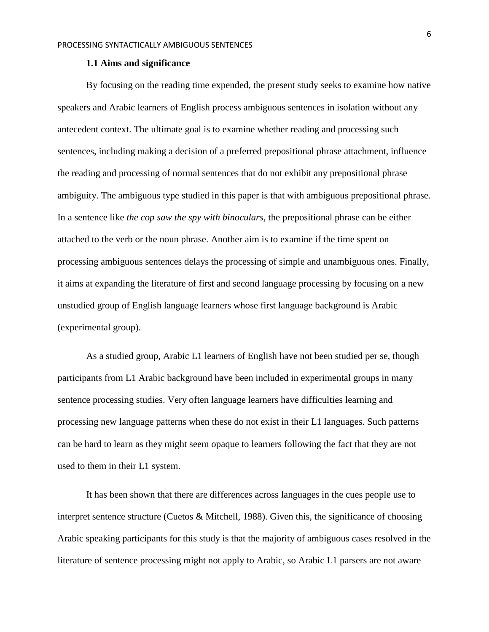#### **1.1 Aims and significance**

<span id="page-5-0"></span>By focusing on the reading time expended, the present study seeks to examine how native speakers and Arabic learners of English process ambiguous sentences in isolation without any antecedent context. The ultimate goal is to examine whether reading and processing such sentences, including making a decision of a preferred prepositional phrase attachment, influence the reading and processing of normal sentences that do not exhibit any prepositional phrase ambiguity. The ambiguous type studied in this paper is that with ambiguous prepositional phrase. In a sentence like *the cop saw the spy with binoculars,* the prepositional phrase can be either attached to the verb or the noun phrase. Another aim is to examine if the time spent on processing ambiguous sentences delays the processing of simple and unambiguous ones. Finally, it aims at expanding the literature of first and second language processing by focusing on a new unstudied group of English language learners whose first language background is Arabic (experimental group).

As a studied group, Arabic L1 learners of English have not been studied per se, though participants from L1 Arabic background have been included in experimental groups in many sentence processing studies. Very often language learners have difficulties learning and processing new language patterns when these do not exist in their L1 languages. Such patterns can be hard to learn as they might seem opaque to learners following the fact that they are not used to them in their L1 system.

It has been shown that there are differences across languages in the cues people use to interpret sentence structure (Cuetos & Mitchell, 1988). Given this, the significance of choosing Arabic speaking participants for this study is that the majority of ambiguous cases resolved in the literature of sentence processing might not apply to Arabic, so Arabic L1 parsers are not aware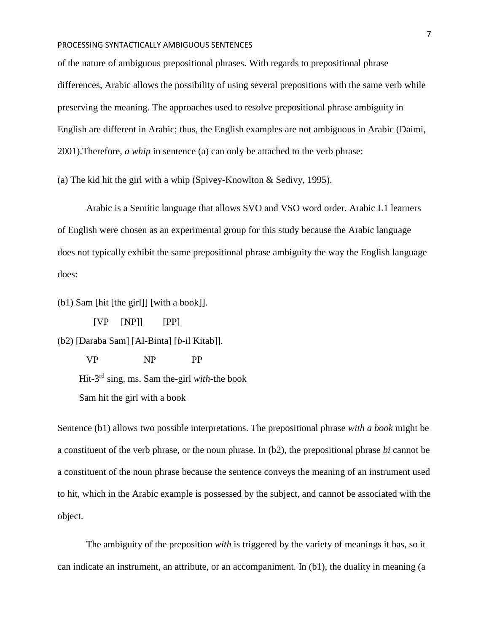of the nature of ambiguous prepositional phrases. With regards to prepositional phrase differences, Arabic allows the possibility of using several prepositions with the same verb while preserving the meaning. The approaches used to resolve prepositional phrase ambiguity in English are different in Arabic; thus, the English examples are not ambiguous in Arabic (Daimi, 2001).Therefore, *a whip* in sentence (a) can only be attached to the verb phrase:

(a) The kid hit the girl with a whip (Spivey-Knowlton & Sedivy, 1995).

Arabic is a Semitic language that allows SVO and VSO word order. Arabic L1 learners of English were chosen as an experimental group for this study because the Arabic language does not typically exhibit the same prepositional phrase ambiguity the way the English language does:

(b1) Sam [hit [the girl]] [with a book]].

[VP [NP]] [PP]

(b2) [Daraba Sam] [Al-Binta] [*b*-il Kitab]].

VP NP PP

Hit-3 rd sing. ms. Sam the-girl *with*-the book

Sam hit the girl with a book

Sentence (b1) allows two possible interpretations. The prepositional phrase *with a book* might be a constituent of the verb phrase, or the noun phrase. In (b2), the prepositional phrase *bi* cannot be a constituent of the noun phrase because the sentence conveys the meaning of an instrument used to hit, which in the Arabic example is possessed by the subject, and cannot be associated with the object.

The ambiguity of the preposition *with* is triggered by the variety of meanings it has, so it can indicate an instrument, an attribute, or an accompaniment. In (b1), the duality in meaning (a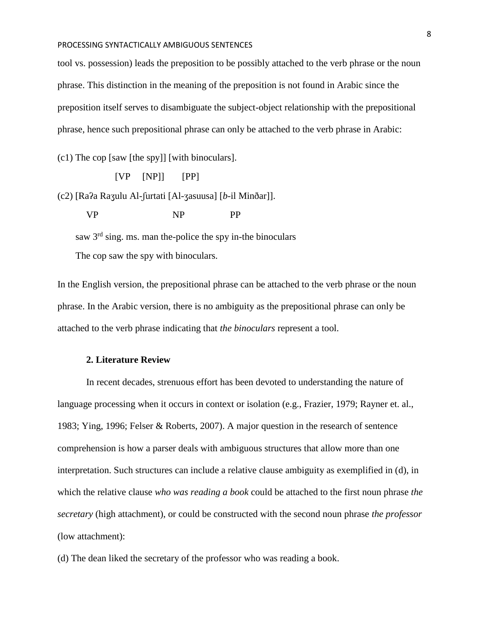tool vs. possession) leads the preposition to be possibly attached to the verb phrase or the noun phrase. This distinction in the meaning of the preposition is not found in Arabic since the preposition itself serves to disambiguate the subject-object relationship with the prepositional phrase, hence such prepositional phrase can only be attached to the verb phrase in Arabic:

(c1) The cop [saw [the spy]] [with binoculars].

[VP [NP]] [PP]

(c2) [Raʔa Raʒulu Al-ʃurtati [Al-ʒasuusa] [*b*-il Minðar]].

VP NP PP

saw 3<sup>rd</sup> sing. ms. man the-police the spy in-the binoculars The cop saw the spy with binoculars.

In the English version, the prepositional phrase can be attached to the verb phrase or the noun phrase. In the Arabic version, there is no ambiguity as the prepositional phrase can only be attached to the verb phrase indicating that *the binoculars* represent a tool.

# **2. Literature Review**

<span id="page-7-0"></span>In recent decades, strenuous effort has been devoted to understanding the nature of language processing when it occurs in context or isolation (e.g., Frazier, 1979; Rayner et. al., 1983; Ying, 1996; Felser & Roberts, 2007). A major question in the research of sentence comprehension is how a parser deals with ambiguous structures that allow more than one interpretation. Such structures can include a relative clause ambiguity as exemplified in (d), in which the relative clause *who was reading a book* could be attached to the first noun phrase *the secretary* (high attachment), or could be constructed with the second noun phrase *the professor* (low attachment):

(d) The dean liked the secretary of the professor who was reading a book.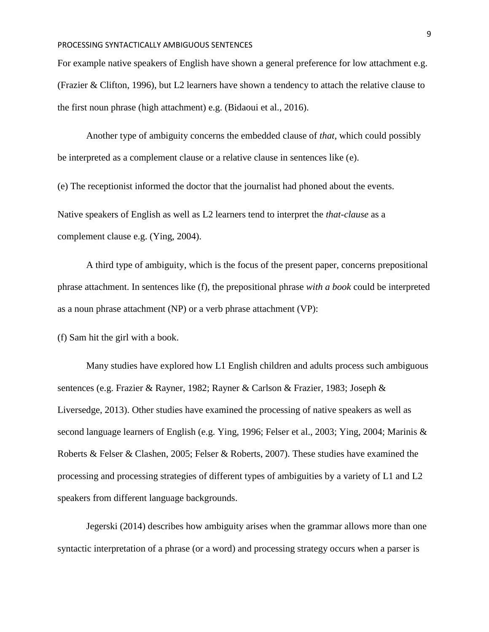For example native speakers of English have shown a general preference for low attachment e.g. (Frazier & Clifton, 1996), but L2 learners have shown a tendency to attach the relative clause to the first noun phrase (high attachment) e.g. (Bidaoui et al., 2016).

Another type of ambiguity concerns the embedded clause of *that*, which could possibly be interpreted as a complement clause or a relative clause in sentences like (e).

(e) The receptionist informed the doctor that the journalist had phoned about the events.

Native speakers of English as well as L2 learners tend to interpret the *that-clause* as a complement clause e.g. (Ying, 2004).

A third type of ambiguity, which is the focus of the present paper, concerns prepositional phrase attachment. In sentences like (f), the prepositional phrase *with a book* could be interpreted as a noun phrase attachment (NP) or a verb phrase attachment (VP):

(f) Sam hit the girl with a book.

Many studies have explored how L1 English children and adults process such ambiguous sentences (e.g. Frazier & Rayner, 1982; Rayner & Carlson & Frazier, 1983; Joseph & Liversedge, 2013). Other studies have examined the processing of native speakers as well as second language learners of English (e.g. Ying, 1996; Felser et al., 2003; Ying, 2004; Marinis & Roberts & Felser & Clashen, 2005; Felser & Roberts, 2007). These studies have examined the processing and processing strategies of different types of ambiguities by a variety of L1 and L2 speakers from different language backgrounds.

Jegerski (2014) describes how ambiguity arises when the grammar allows more than one syntactic interpretation of a phrase (or a word) and processing strategy occurs when a parser is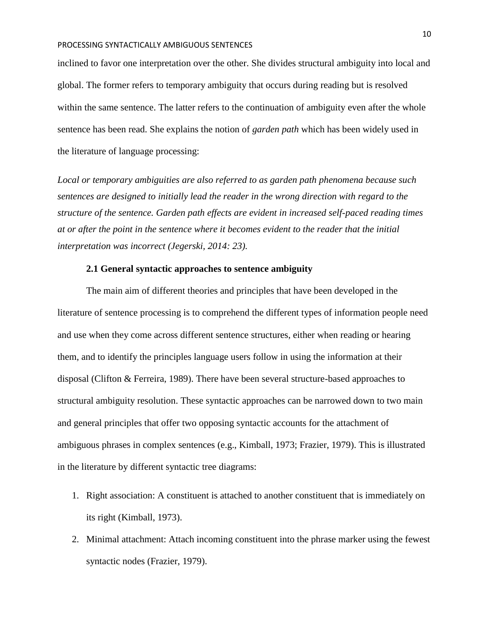inclined to favor one interpretation over the other. She divides structural ambiguity into local and global. The former refers to temporary ambiguity that occurs during reading but is resolved within the same sentence. The latter refers to the continuation of ambiguity even after the whole sentence has been read. She explains the notion of *garden path* which has been widely used in the literature of language processing:

*Local or temporary ambiguities are also referred to as garden path phenomena because such sentences are designed to initially lead the reader in the wrong direction with regard to the structure of the sentence. Garden path effects are evident in increased self-paced reading times at or after the point in the sentence where it becomes evident to the reader that the initial interpretation was incorrect (Jegerski, 2014: 23).* 

## **2.1 General syntactic approaches to sentence ambiguity**

<span id="page-9-0"></span>The main aim of different theories and principles that have been developed in the literature of sentence processing is to comprehend the different types of information people need and use when they come across different sentence structures, either when reading or hearing them, and to identify the principles language users follow in using the information at their disposal (Clifton & Ferreira, 1989). There have been several structure-based approaches to structural ambiguity resolution. These syntactic approaches can be narrowed down to two main and general principles that offer two opposing syntactic accounts for the attachment of ambiguous phrases in complex sentences (e.g., Kimball, 1973; Frazier, 1979). This is illustrated in the literature by different syntactic tree diagrams:

- 1. Right association: A constituent is attached to another constituent that is immediately on its right (Kimball, 1973).
- 2. Minimal attachment: Attach incoming constituent into the phrase marker using the fewest syntactic nodes (Frazier, 1979).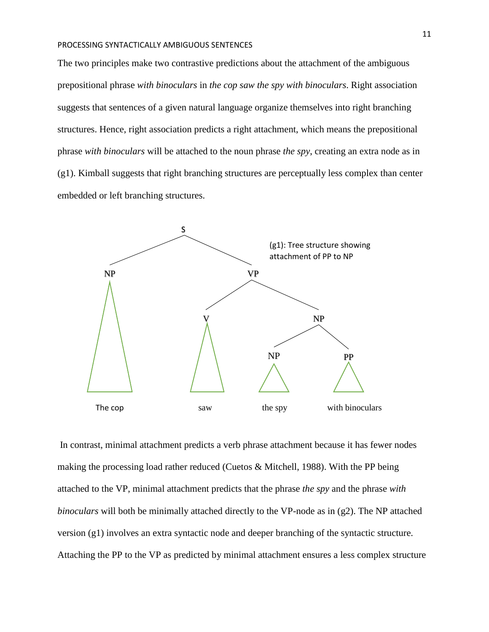The two principles make two contrastive predictions about the attachment of the ambiguous prepositional phrase *with binoculars* in *the cop saw the spy with binoculars*. Right association suggests that sentences of a given natural language organize themselves into right branching structures. Hence, right association predicts a right attachment, which means the prepositional phrase *with binoculars* will be attached to the noun phrase *the spy*, creating an extra node as in (g1). Kimball suggests that right branching structures are perceptually less complex than center embedded or left branching structures.



In contrast, minimal attachment predicts a verb phrase attachment because it has fewer nodes making the processing load rather reduced (Cuetos & Mitchell, 1988). With the PP being attached to the VP, minimal attachment predicts that the phrase *the spy* and the phrase *with binoculars* will both be minimally attached directly to the VP-node as in (g2). The NP attached version (g1) involves an extra syntactic node and deeper branching of the syntactic structure. Attaching the PP to the VP as predicted by minimal attachment ensures a less complex structure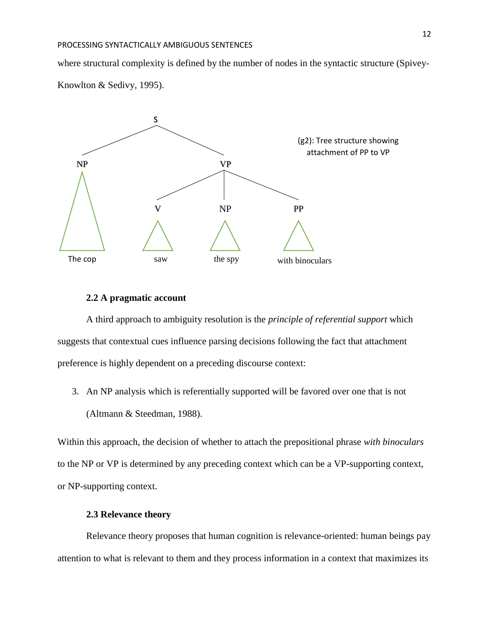where structural complexity is defined by the number of nodes in the syntactic structure (Spivey-Knowlton & Sedivy, 1995).



## **2.2 A pragmatic account**

<span id="page-11-0"></span>A third approach to ambiguity resolution is the *principle of referential support* which suggests that contextual cues influence parsing decisions following the fact that attachment preference is highly dependent on a preceding discourse context:

3. An NP analysis which is referentially supported will be favored over one that is not (Altmann & Steedman, 1988).

Within this approach, the decision of whether to attach the prepositional phrase *with binoculars* to the NP or VP is determined by any preceding context which can be a VP-supporting context, or NP-supporting context.

# **2.3 Relevance theory**

<span id="page-11-1"></span>Relevance theory proposes that human cognition is relevance-oriented: human beings pay attention to what is relevant to them and they process information in a context that maximizes its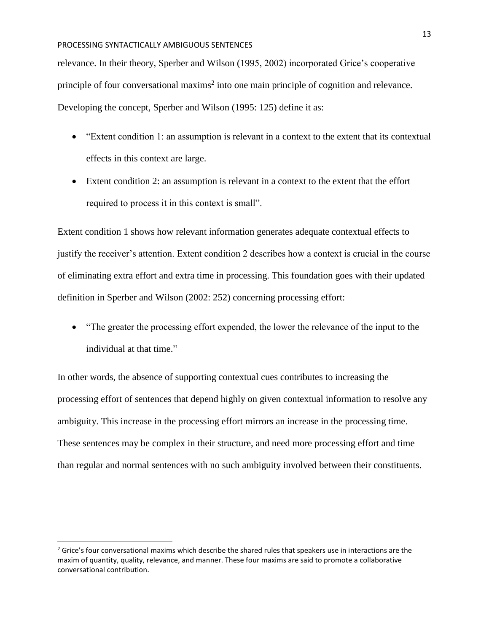relevance. In their theory, Sperber and Wilson (1995, 2002) incorporated Grice's cooperative principle of four conversational maxims<sup>2</sup> into one main principle of cognition and relevance. Developing the concept, Sperber and Wilson (1995: 125) define it as:

- "Extent condition 1: an assumption is relevant in a context to the extent that its contextual effects in this context are large.
- Extent condition 2: an assumption is relevant in a context to the extent that the effort required to process it in this context is small".

Extent condition 1 shows how relevant information generates adequate contextual effects to justify the receiver's attention. Extent condition 2 describes how a context is crucial in the course of eliminating extra effort and extra time in processing. This foundation goes with their updated definition in Sperber and Wilson (2002: 252) concerning processing effort:

• "The greater the processing effort expended, the lower the relevance of the input to the individual at that time."

In other words, the absence of supporting contextual cues contributes to increasing the processing effort of sentences that depend highly on given contextual information to resolve any ambiguity. This increase in the processing effort mirrors an increase in the processing time. These sentences may be complex in their structure, and need more processing effort and time than regular and normal sentences with no such ambiguity involved between their constituents.

 $\overline{a}$ 

<sup>&</sup>lt;sup>2</sup> Grice's four conversational maxims which describe the shared rules that speakers use in interactions are the maxim of quantity, quality, relevance, and manner. These four maxims are said to promote a collaborative conversational contribution.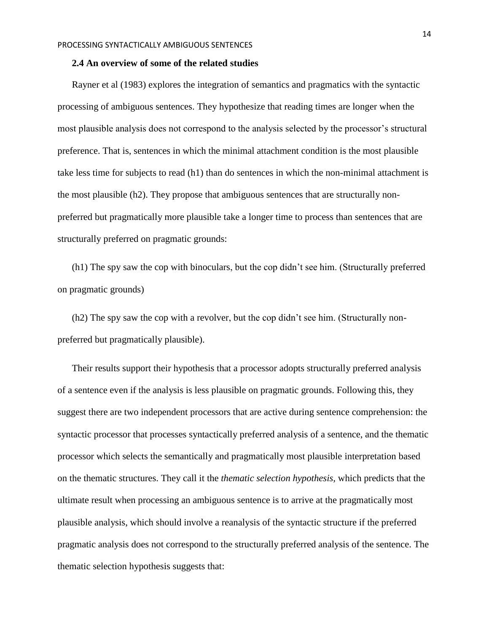#### <span id="page-13-0"></span>**2.4 An overview of some of the related studies**

Rayner et al (1983) explores the integration of semantics and pragmatics with the syntactic processing of ambiguous sentences. They hypothesize that reading times are longer when the most plausible analysis does not correspond to the analysis selected by the processor's structural preference. That is, sentences in which the minimal attachment condition is the most plausible take less time for subjects to read (h1) than do sentences in which the non-minimal attachment is the most plausible (h2). They propose that ambiguous sentences that are structurally nonpreferred but pragmatically more plausible take a longer time to process than sentences that are structurally preferred on pragmatic grounds:

(h1) The spy saw the cop with binoculars, but the cop didn't see him. (Structurally preferred on pragmatic grounds)

(h2) The spy saw the cop with a revolver, but the cop didn't see him. (Structurally nonpreferred but pragmatically plausible).

Their results support their hypothesis that a processor adopts structurally preferred analysis of a sentence even if the analysis is less plausible on pragmatic grounds. Following this, they suggest there are two independent processors that are active during sentence comprehension: the syntactic processor that processes syntactically preferred analysis of a sentence, and the thematic processor which selects the semantically and pragmatically most plausible interpretation based on the thematic structures. They call it the *thematic selection hypothesis,* which predicts that the ultimate result when processing an ambiguous sentence is to arrive at the pragmatically most plausible analysis, which should involve a reanalysis of the syntactic structure if the preferred pragmatic analysis does not correspond to the structurally preferred analysis of the sentence. The thematic selection hypothesis suggests that: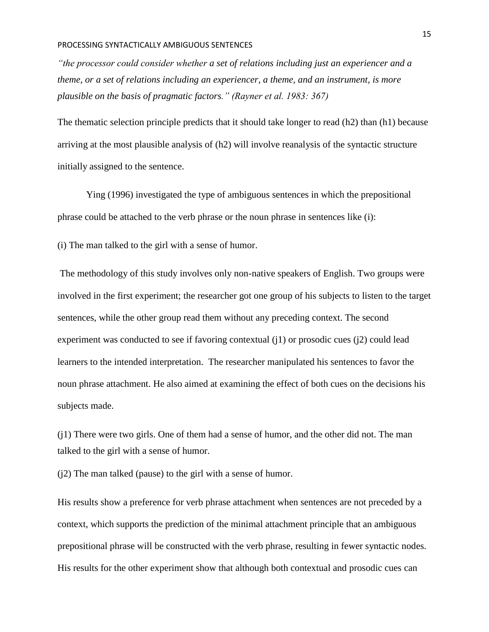*"the processor could consider whether a set of relations including just an experiencer and a theme, or a set of relations including an experiencer, a theme, and an instrument, is more plausible on the basis of pragmatic factors." (Rayner et al. 1983: 367)*

The thematic selection principle predicts that it should take longer to read (h2) than (h1) because arriving at the most plausible analysis of (h2) will involve reanalysis of the syntactic structure initially assigned to the sentence.

Ying (1996) investigated the type of ambiguous sentences in which the prepositional phrase could be attached to the verb phrase or the noun phrase in sentences like (i):

(i) The man talked to the girl with a sense of humor.

The methodology of this study involves only non-native speakers of English. Two groups were involved in the first experiment; the researcher got one group of his subjects to listen to the target sentences, while the other group read them without any preceding context. The second experiment was conducted to see if favoring contextual (j1) or prosodic cues (j2) could lead learners to the intended interpretation. The researcher manipulated his sentences to favor the noun phrase attachment. He also aimed at examining the effect of both cues on the decisions his subjects made.

(j1) There were two girls. One of them had a sense of humor, and the other did not. The man talked to the girl with a sense of humor.

(j2) The man talked (pause) to the girl with a sense of humor.

His results show a preference for verb phrase attachment when sentences are not preceded by a context, which supports the prediction of the minimal attachment principle that an ambiguous prepositional phrase will be constructed with the verb phrase, resulting in fewer syntactic nodes. His results for the other experiment show that although both contextual and prosodic cues can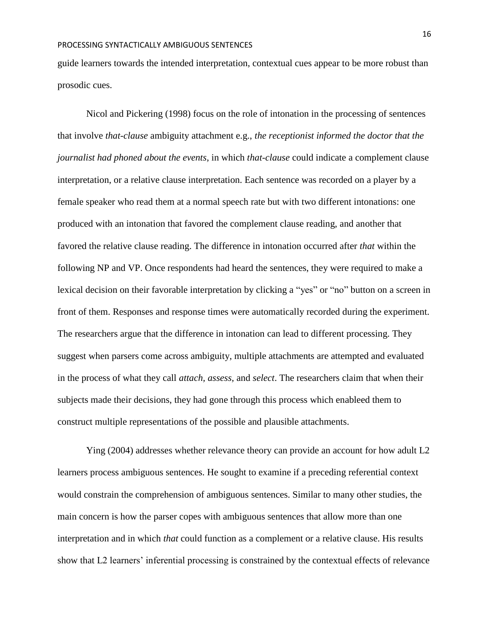guide learners towards the intended interpretation, contextual cues appear to be more robust than prosodic cues.

Nicol and Pickering (1998) focus on the role of intonation in the processing of sentences that involve *that-clause* ambiguity attachment e.g., *the receptionist informed the doctor that the journalist had phoned about the events*, in which *that-clause* could indicate a complement clause interpretation, or a relative clause interpretation. Each sentence was recorded on a player by a female speaker who read them at a normal speech rate but with two different intonations: one produced with an intonation that favored the complement clause reading, and another that favored the relative clause reading. The difference in intonation occurred after *that* within the following NP and VP. Once respondents had heard the sentences, they were required to make a lexical decision on their favorable interpretation by clicking a "yes" or "no" button on a screen in front of them. Responses and response times were automatically recorded during the experiment. The researchers argue that the difference in intonation can lead to different processing. They suggest when parsers come across ambiguity, multiple attachments are attempted and evaluated in the process of what they call *attach, assess,* and *select*. The researchers claim that when their subjects made their decisions, they had gone through this process which enableed them to construct multiple representations of the possible and plausible attachments.

Ying (2004) addresses whether relevance theory can provide an account for how adult L2 learners process ambiguous sentences. He sought to examine if a preceding referential context would constrain the comprehension of ambiguous sentences. Similar to many other studies, the main concern is how the parser copes with ambiguous sentences that allow more than one interpretation and in which *that* could function as a complement or a relative clause. His results show that L2 learners' inferential processing is constrained by the contextual effects of relevance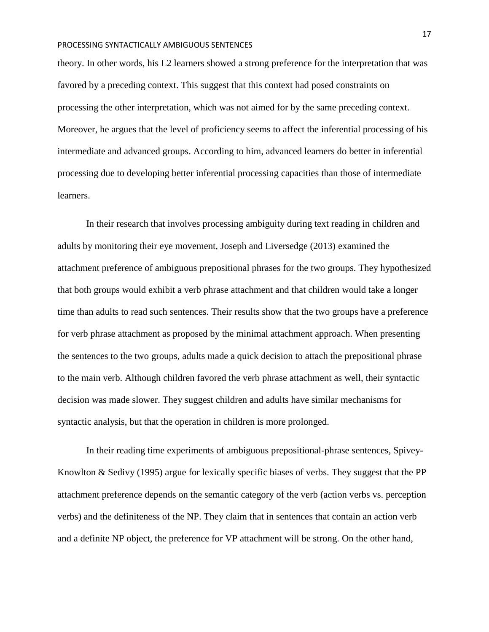theory. In other words, his L2 learners showed a strong preference for the interpretation that was favored by a preceding context. This suggest that this context had posed constraints on processing the other interpretation, which was not aimed for by the same preceding context. Moreover, he argues that the level of proficiency seems to affect the inferential processing of his intermediate and advanced groups. According to him, advanced learners do better in inferential processing due to developing better inferential processing capacities than those of intermediate learners.

In their research that involves processing ambiguity during text reading in children and adults by monitoring their eye movement, Joseph and Liversedge (2013) examined the attachment preference of ambiguous prepositional phrases for the two groups. They hypothesized that both groups would exhibit a verb phrase attachment and that children would take a longer time than adults to read such sentences. Their results show that the two groups have a preference for verb phrase attachment as proposed by the minimal attachment approach. When presenting the sentences to the two groups, adults made a quick decision to attach the prepositional phrase to the main verb. Although children favored the verb phrase attachment as well, their syntactic decision was made slower. They suggest children and adults have similar mechanisms for syntactic analysis, but that the operation in children is more prolonged.

In their reading time experiments of ambiguous prepositional-phrase sentences, Spivey-Knowlton & Sedivy (1995) argue for lexically specific biases of verbs. They suggest that the PP attachment preference depends on the semantic category of the verb (action verbs vs. perception verbs) and the definiteness of the NP. They claim that in sentences that contain an action verb and a definite NP object, the preference for VP attachment will be strong. On the other hand,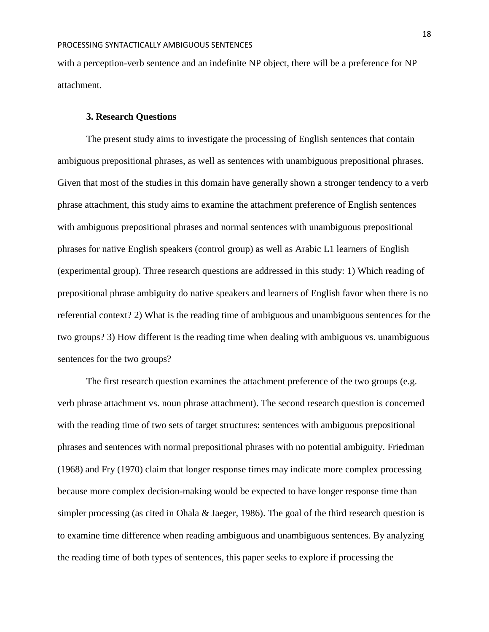with a perception-verb sentence and an indefinite NP object, there will be a preference for NP attachment.

### **3. Research Questions**

<span id="page-17-0"></span>The present study aims to investigate the processing of English sentences that contain ambiguous prepositional phrases, as well as sentences with unambiguous prepositional phrases. Given that most of the studies in this domain have generally shown a stronger tendency to a verb phrase attachment, this study aims to examine the attachment preference of English sentences with ambiguous prepositional phrases and normal sentences with unambiguous prepositional phrases for native English speakers (control group) as well as Arabic L1 learners of English (experimental group). Three research questions are addressed in this study: 1) Which reading of prepositional phrase ambiguity do native speakers and learners of English favor when there is no referential context? 2) What is the reading time of ambiguous and unambiguous sentences for the two groups? 3) How different is the reading time when dealing with ambiguous vs. unambiguous sentences for the two groups?

The first research question examines the attachment preference of the two groups (e.g. verb phrase attachment vs. noun phrase attachment). The second research question is concerned with the reading time of two sets of target structures: sentences with ambiguous prepositional phrases and sentences with normal prepositional phrases with no potential ambiguity. Friedman (1968) and Fry (1970) claim that longer response times may indicate more complex processing because more complex decision-making would be expected to have longer response time than simpler processing (as cited in Ohala & Jaeger, 1986). The goal of the third research question is to examine time difference when reading ambiguous and unambiguous sentences. By analyzing the reading time of both types of sentences, this paper seeks to explore if processing the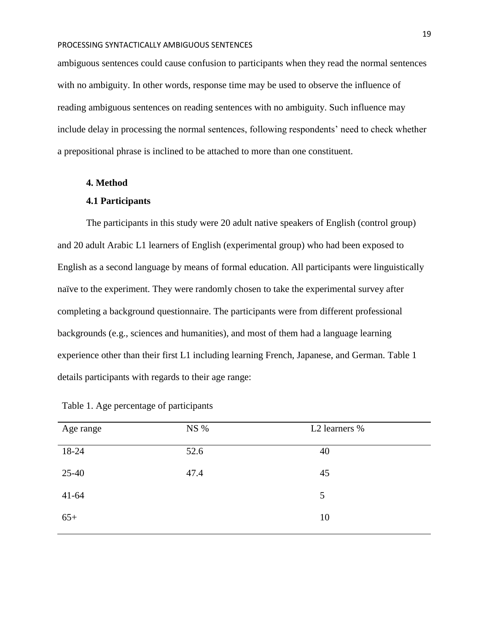ambiguous sentences could cause confusion to participants when they read the normal sentences with no ambiguity. In other words, response time may be used to observe the influence of reading ambiguous sentences on reading sentences with no ambiguity. Such influence may include delay in processing the normal sentences, following respondents' need to check whether a prepositional phrase is inclined to be attached to more than one constituent.

## <span id="page-18-0"></span>**4. Method**

#### **4.1 Participants**

<span id="page-18-1"></span>The participants in this study were 20 adult native speakers of English (control group) and 20 adult Arabic L1 learners of English (experimental group) who had been exposed to English as a second language by means of formal education. All participants were linguistically naïve to the experiment. They were randomly chosen to take the experimental survey after completing a background questionnaire. The participants were from different professional backgrounds (e.g., sciences and humanities), and most of them had a language learning experience other than their first L1 including learning French, Japanese, and German. Table 1 details participants with regards to their age range:

| Age range | NS % | L2 learners % |
|-----------|------|---------------|
| 18-24     | 52.6 | 40            |
| $25-40$   | 47.4 | 45            |
| $41 - 64$ |      | 5             |
| $65+$     |      | 10            |

|  |  |  |  |  |  |  | Table 1. Age percentage of participants |
|--|--|--|--|--|--|--|-----------------------------------------|
|--|--|--|--|--|--|--|-----------------------------------------|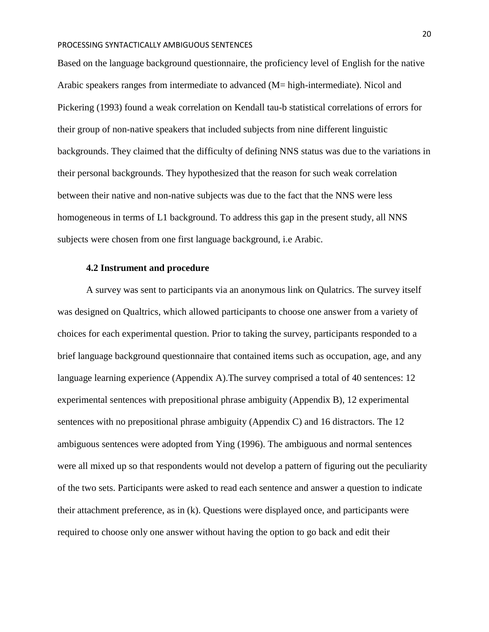Based on the language background questionnaire, the proficiency level of English for the native Arabic speakers ranges from intermediate to advanced (M= high-intermediate). Nicol and Pickering (1993) found a weak correlation on Kendall tau-b statistical correlations of errors for their group of non-native speakers that included subjects from nine different linguistic backgrounds. They claimed that the difficulty of defining NNS status was due to the variations in their personal backgrounds. They hypothesized that the reason for such weak correlation between their native and non-native subjects was due to the fact that the NNS were less homogeneous in terms of L1 background. To address this gap in the present study, all NNS subjects were chosen from one first language background, i.e Arabic.

## **4.2 Instrument and procedure**

<span id="page-19-0"></span>A survey was sent to participants via an anonymous link on Qulatrics. The survey itself was designed on Qualtrics, which allowed participants to choose one answer from a variety of choices for each experimental question. Prior to taking the survey, participants responded to a brief language background questionnaire that contained items such as occupation, age, and any language learning experience (Appendix A).The survey comprised a total of 40 sentences: 12 experimental sentences with prepositional phrase ambiguity (Appendix B), 12 experimental sentences with no prepositional phrase ambiguity (Appendix C) and 16 distractors. The 12 ambiguous sentences were adopted from Ying (1996). The ambiguous and normal sentences were all mixed up so that respondents would not develop a pattern of figuring out the peculiarity of the two sets. Participants were asked to read each sentence and answer a question to indicate their attachment preference, as in (k). Questions were displayed once, and participants were required to choose only one answer without having the option to go back and edit their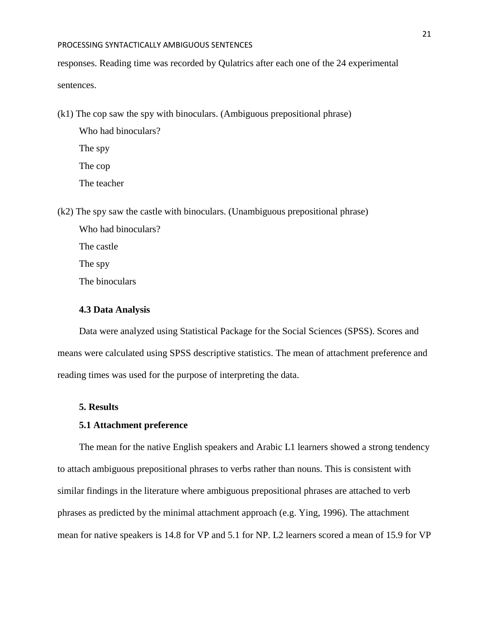responses. Reading time was recorded by Qulatrics after each one of the 24 experimental sentences.

(k1) The cop saw the spy with binoculars. (Ambiguous prepositional phrase)

Who had binoculars? The spy The cop The teacher

(k2) The spy saw the castle with binoculars. (Unambiguous prepositional phrase)

Who had binoculars? The castle The spy The binoculars

## <span id="page-20-0"></span>**4.3 Data Analysis**

Data were analyzed using Statistical Package for the Social Sciences (SPSS). Scores and means were calculated using SPSS descriptive statistics. The mean of attachment preference and reading times was used for the purpose of interpreting the data.

## <span id="page-20-1"></span>**5. Results**

#### <span id="page-20-2"></span>**5.1 Attachment preference**

The mean for the native English speakers and Arabic L1 learners showed a strong tendency to attach ambiguous prepositional phrases to verbs rather than nouns. This is consistent with similar findings in the literature where ambiguous prepositional phrases are attached to verb phrases as predicted by the minimal attachment approach (e.g. Ying, 1996). The attachment mean for native speakers is 14.8 for VP and 5.1 for NP. L2 learners scored a mean of 15.9 for VP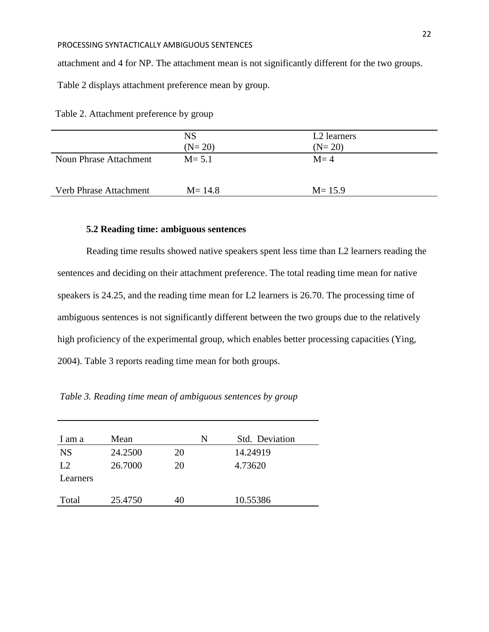attachment and 4 for NP. The attachment mean is not significantly different for the two groups.

Table 2 displays attachment preference mean by group.

Table 2. Attachment preference by group

|                        | <b>NS</b>  | L <sub>2</sub> learners |
|------------------------|------------|-------------------------|
|                        | $(N=20)$   | $(N=20)$                |
| Noun Phrase Attachment | $M = 5.1$  | $M = 4$                 |
| Verb Phrase Attachment | $M = 14.8$ | $M = 15.9$              |
|                        |            |                         |

## **5.2 Reading time: ambiguous sentences**

<span id="page-21-0"></span>Reading time results showed native speakers spent less time than L2 learners reading the sentences and deciding on their attachment preference. The total reading time mean for native speakers is 24.25, and the reading time mean for L2 learners is 26.70. The processing time of ambiguous sentences is not significantly different between the two groups due to the relatively high proficiency of the experimental group, which enables better processing capacities (Ying, 2004). Table 3 reports reading time mean for both groups.

*Table 3. Reading time mean of ambiguous sentences by group*

| 1 am a         | Mean    |    | Std. Deviation<br>N |
|----------------|---------|----|---------------------|
| <b>NS</b>      | 24.2500 | 20 | 14.24919            |
| L <sub>2</sub> | 26.7000 | 20 | 4.73620             |
| Learners       |         |    |                     |
| Total          | 25.4750 | 40 | 10.55386            |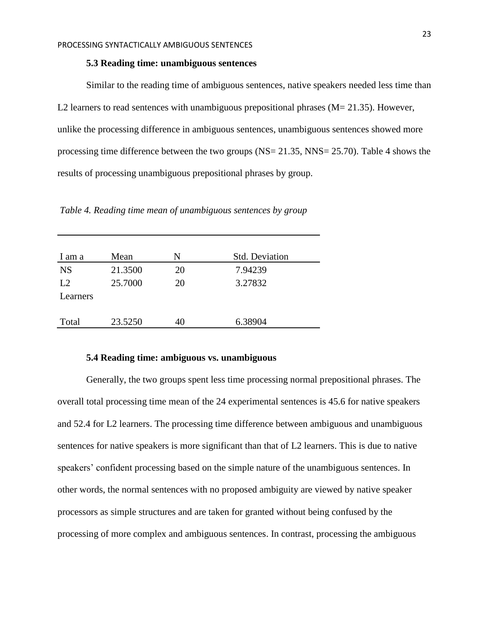### **5.3 Reading time: unambiguous sentences**

<span id="page-22-0"></span>Similar to the reading time of ambiguous sentences, native speakers needed less time than L2 learners to read sentences with unambiguous prepositional phrases  $(M= 21.35)$ . However, unlike the processing difference in ambiguous sentences, unambiguous sentences showed more processing time difference between the two groups (NS= 21.35, NNS= 25.70). Table 4 shows the results of processing unambiguous prepositional phrases by group.

*Table 4. Reading time mean of unambiguous sentences by group*

| I am a         | Mean    | N  | <b>Std. Deviation</b> |
|----------------|---------|----|-----------------------|
| <b>NS</b>      | 21.3500 | 20 | 7.94239               |
| L2<br>Learners | 25.7000 | 20 | 3.27832               |
| Total          | 23.5250 | 40 | 6.38904               |

### **5.4 Reading time: ambiguous vs. unambiguous**

<span id="page-22-1"></span>Generally, the two groups spent less time processing normal prepositional phrases. The overall total processing time mean of the 24 experimental sentences is 45.6 for native speakers and 52.4 for L2 learners. The processing time difference between ambiguous and unambiguous sentences for native speakers is more significant than that of L2 learners. This is due to native speakers' confident processing based on the simple nature of the unambiguous sentences. In other words, the normal sentences with no proposed ambiguity are viewed by native speaker processors as simple structures and are taken for granted without being confused by the processing of more complex and ambiguous sentences. In contrast, processing the ambiguous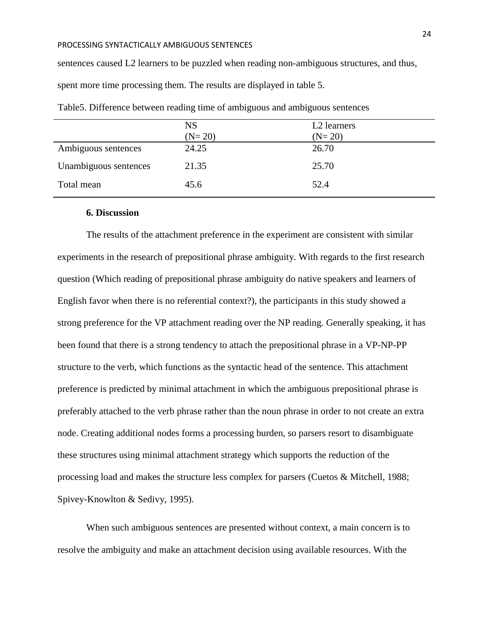sentences caused L2 learners to be puzzled when reading non-ambiguous structures, and thus, spent more time processing them. The results are displayed in table 5.

|                       | <b>NS</b><br>$(N=20)$ | L <sub>2</sub> learners<br>$(N=20)$ |
|-----------------------|-----------------------|-------------------------------------|
| Ambiguous sentences   | 24.25                 | 26.70                               |
| Unambiguous sentences | 21.35                 | 25.70                               |
| Total mean            | 45.6                  | 52.4                                |

Table5. Difference between reading time of ambiguous and ambiguous sentences

### <span id="page-23-0"></span>**6. Discussion**

The results of the attachment preference in the experiment are consistent with similar experiments in the research of prepositional phrase ambiguity. With regards to the first research question (Which reading of prepositional phrase ambiguity do native speakers and learners of English favor when there is no referential context?), the participants in this study showed a strong preference for the VP attachment reading over the NP reading. Generally speaking, it has been found that there is a strong tendency to attach the prepositional phrase in a VP-NP-PP structure to the verb, which functions as the syntactic head of the sentence. This attachment preference is predicted by minimal attachment in which the ambiguous prepositional phrase is preferably attached to the verb phrase rather than the noun phrase in order to not create an extra node. Creating additional nodes forms a processing burden, so parsers resort to disambiguate these structures using minimal attachment strategy which supports the reduction of the processing load and makes the structure less complex for parsers (Cuetos & Mitchell, 1988; Spivey-Knowlton & Sedivy, 1995).

When such ambiguous sentences are presented without context, a main concern is to resolve the ambiguity and make an attachment decision using available resources. With the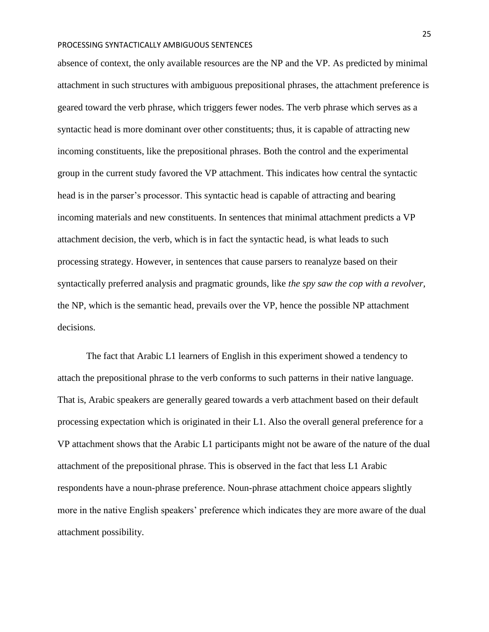absence of context, the only available resources are the NP and the VP. As predicted by minimal attachment in such structures with ambiguous prepositional phrases, the attachment preference is geared toward the verb phrase, which triggers fewer nodes. The verb phrase which serves as a syntactic head is more dominant over other constituents; thus, it is capable of attracting new incoming constituents, like the prepositional phrases. Both the control and the experimental group in the current study favored the VP attachment. This indicates how central the syntactic head is in the parser's processor. This syntactic head is capable of attracting and bearing incoming materials and new constituents. In sentences that minimal attachment predicts a VP attachment decision, the verb, which is in fact the syntactic head, is what leads to such processing strategy. However, in sentences that cause parsers to reanalyze based on their syntactically preferred analysis and pragmatic grounds, like *the spy saw the cop with a revolver,*  the NP, which is the semantic head, prevails over the VP, hence the possible NP attachment decisions.

The fact that Arabic L1 learners of English in this experiment showed a tendency to attach the prepositional phrase to the verb conforms to such patterns in their native language. That is, Arabic speakers are generally geared towards a verb attachment based on their default processing expectation which is originated in their L1. Also the overall general preference for a VP attachment shows that the Arabic L1 participants might not be aware of the nature of the dual attachment of the prepositional phrase. This is observed in the fact that less L1 Arabic respondents have a noun-phrase preference. Noun-phrase attachment choice appears slightly more in the native English speakers' preference which indicates they are more aware of the dual attachment possibility.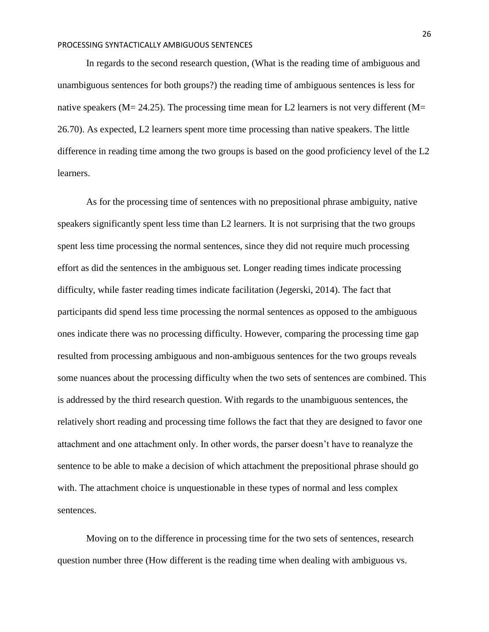In regards to the second research question, (What is the reading time of ambiguous and unambiguous sentences for both groups?) the reading time of ambiguous sentences is less for native speakers ( $M = 24.25$ ). The processing time mean for L2 learners is not very different ( $M =$ 26.70). As expected, L2 learners spent more time processing than native speakers. The little difference in reading time among the two groups is based on the good proficiency level of the L2 learners.

As for the processing time of sentences with no prepositional phrase ambiguity, native speakers significantly spent less time than L2 learners. It is not surprising that the two groups spent less time processing the normal sentences, since they did not require much processing effort as did the sentences in the ambiguous set. Longer reading times indicate processing difficulty, while faster reading times indicate facilitation (Jegerski, 2014). The fact that participants did spend less time processing the normal sentences as opposed to the ambiguous ones indicate there was no processing difficulty. However, comparing the processing time gap resulted from processing ambiguous and non-ambiguous sentences for the two groups reveals some nuances about the processing difficulty when the two sets of sentences are combined. This is addressed by the third research question. With regards to the unambiguous sentences, the relatively short reading and processing time follows the fact that they are designed to favor one attachment and one attachment only. In other words, the parser doesn't have to reanalyze the sentence to be able to make a decision of which attachment the prepositional phrase should go with. The attachment choice is unquestionable in these types of normal and less complex sentences.

Moving on to the difference in processing time for the two sets of sentences, research question number three (How different is the reading time when dealing with ambiguous vs.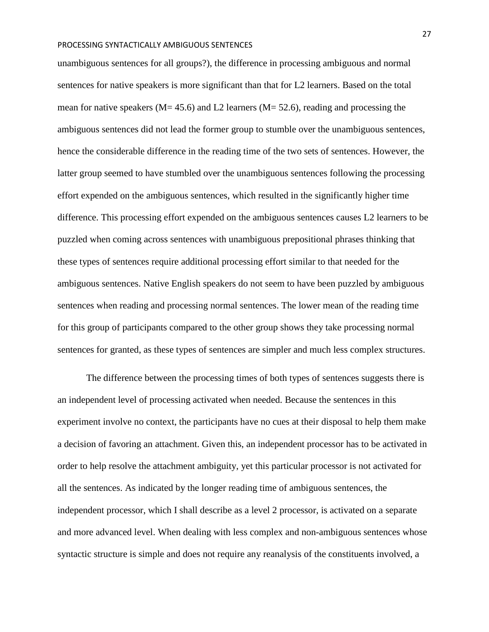unambiguous sentences for all groups?), the difference in processing ambiguous and normal sentences for native speakers is more significant than that for L2 learners. Based on the total mean for native speakers ( $M= 45.6$ ) and L2 learners ( $M= 52.6$ ), reading and processing the ambiguous sentences did not lead the former group to stumble over the unambiguous sentences, hence the considerable difference in the reading time of the two sets of sentences. However, the latter group seemed to have stumbled over the unambiguous sentences following the processing effort expended on the ambiguous sentences, which resulted in the significantly higher time difference. This processing effort expended on the ambiguous sentences causes L2 learners to be puzzled when coming across sentences with unambiguous prepositional phrases thinking that these types of sentences require additional processing effort similar to that needed for the ambiguous sentences. Native English speakers do not seem to have been puzzled by ambiguous sentences when reading and processing normal sentences. The lower mean of the reading time for this group of participants compared to the other group shows they take processing normal sentences for granted, as these types of sentences are simpler and much less complex structures.

The difference between the processing times of both types of sentences suggests there is an independent level of processing activated when needed. Because the sentences in this experiment involve no context, the participants have no cues at their disposal to help them make a decision of favoring an attachment. Given this, an independent processor has to be activated in order to help resolve the attachment ambiguity, yet this particular processor is not activated for all the sentences. As indicated by the longer reading time of ambiguous sentences, the independent processor, which I shall describe as a level 2 processor, is activated on a separate and more advanced level. When dealing with less complex and non-ambiguous sentences whose syntactic structure is simple and does not require any reanalysis of the constituents involved, a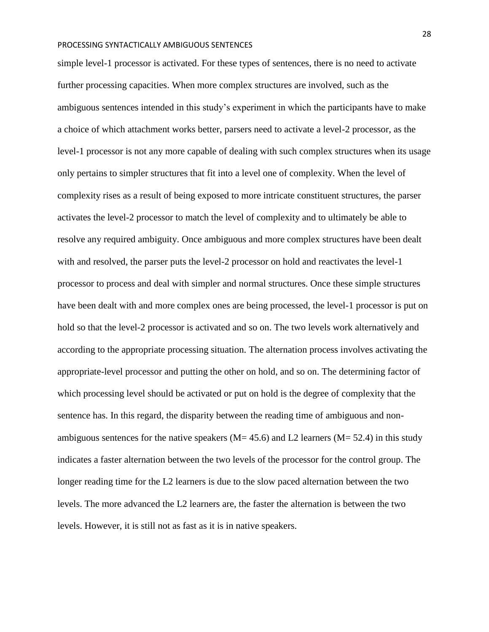simple level-1 processor is activated. For these types of sentences, there is no need to activate further processing capacities. When more complex structures are involved, such as the ambiguous sentences intended in this study's experiment in which the participants have to make a choice of which attachment works better, parsers need to activate a level-2 processor, as the level-1 processor is not any more capable of dealing with such complex structures when its usage only pertains to simpler structures that fit into a level one of complexity. When the level of complexity rises as a result of being exposed to more intricate constituent structures, the parser activates the level-2 processor to match the level of complexity and to ultimately be able to resolve any required ambiguity. Once ambiguous and more complex structures have been dealt with and resolved, the parser puts the level-2 processor on hold and reactivates the level-1 processor to process and deal with simpler and normal structures. Once these simple structures have been dealt with and more complex ones are being processed, the level-1 processor is put on hold so that the level-2 processor is activated and so on. The two levels work alternatively and according to the appropriate processing situation. The alternation process involves activating the appropriate-level processor and putting the other on hold, and so on. The determining factor of which processing level should be activated or put on hold is the degree of complexity that the sentence has. In this regard, the disparity between the reading time of ambiguous and nonambiguous sentences for the native speakers ( $M = 45.6$ ) and L2 learners ( $M = 52.4$ ) in this study indicates a faster alternation between the two levels of the processor for the control group. The longer reading time for the L2 learners is due to the slow paced alternation between the two levels. The more advanced the L2 learners are, the faster the alternation is between the two levels. However, it is still not as fast as it is in native speakers.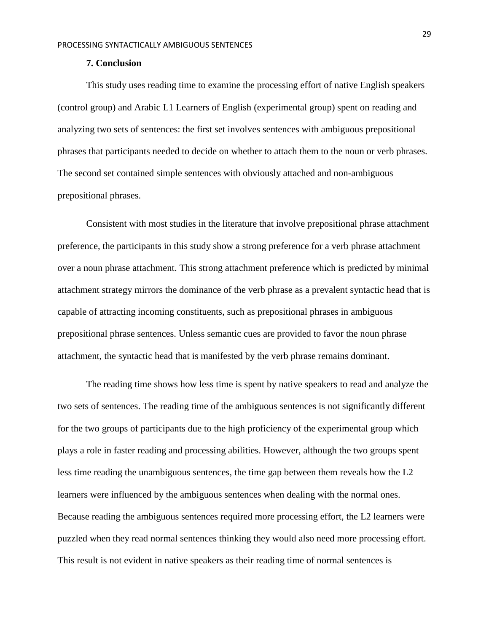### **7. Conclusion**

<span id="page-28-0"></span>This study uses reading time to examine the processing effort of native English speakers (control group) and Arabic L1 Learners of English (experimental group) spent on reading and analyzing two sets of sentences: the first set involves sentences with ambiguous prepositional phrases that participants needed to decide on whether to attach them to the noun or verb phrases. The second set contained simple sentences with obviously attached and non-ambiguous prepositional phrases.

Consistent with most studies in the literature that involve prepositional phrase attachment preference, the participants in this study show a strong preference for a verb phrase attachment over a noun phrase attachment. This strong attachment preference which is predicted by minimal attachment strategy mirrors the dominance of the verb phrase as a prevalent syntactic head that is capable of attracting incoming constituents, such as prepositional phrases in ambiguous prepositional phrase sentences. Unless semantic cues are provided to favor the noun phrase attachment, the syntactic head that is manifested by the verb phrase remains dominant.

The reading time shows how less time is spent by native speakers to read and analyze the two sets of sentences. The reading time of the ambiguous sentences is not significantly different for the two groups of participants due to the high proficiency of the experimental group which plays a role in faster reading and processing abilities. However, although the two groups spent less time reading the unambiguous sentences, the time gap between them reveals how the L2 learners were influenced by the ambiguous sentences when dealing with the normal ones. Because reading the ambiguous sentences required more processing effort, the L2 learners were puzzled when they read normal sentences thinking they would also need more processing effort. This result is not evident in native speakers as their reading time of normal sentences is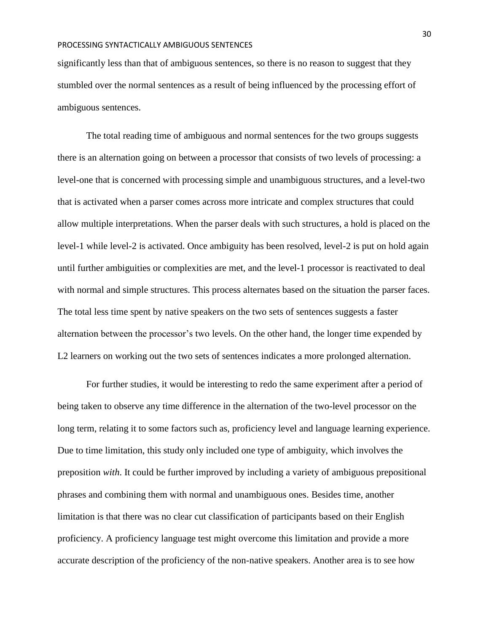significantly less than that of ambiguous sentences, so there is no reason to suggest that they stumbled over the normal sentences as a result of being influenced by the processing effort of ambiguous sentences.

The total reading time of ambiguous and normal sentences for the two groups suggests there is an alternation going on between a processor that consists of two levels of processing: a level-one that is concerned with processing simple and unambiguous structures, and a level-two that is activated when a parser comes across more intricate and complex structures that could allow multiple interpretations. When the parser deals with such structures, a hold is placed on the level-1 while level-2 is activated. Once ambiguity has been resolved, level-2 is put on hold again until further ambiguities or complexities are met, and the level-1 processor is reactivated to deal with normal and simple structures. This process alternates based on the situation the parser faces. The total less time spent by native speakers on the two sets of sentences suggests a faster alternation between the processor's two levels. On the other hand, the longer time expended by L2 learners on working out the two sets of sentences indicates a more prolonged alternation.

For further studies, it would be interesting to redo the same experiment after a period of being taken to observe any time difference in the alternation of the two-level processor on the long term, relating it to some factors such as, proficiency level and language learning experience. Due to time limitation, this study only included one type of ambiguity, which involves the preposition *with*. It could be further improved by including a variety of ambiguous prepositional phrases and combining them with normal and unambiguous ones. Besides time, another limitation is that there was no clear cut classification of participants based on their English proficiency. A proficiency language test might overcome this limitation and provide a more accurate description of the proficiency of the non-native speakers. Another area is to see how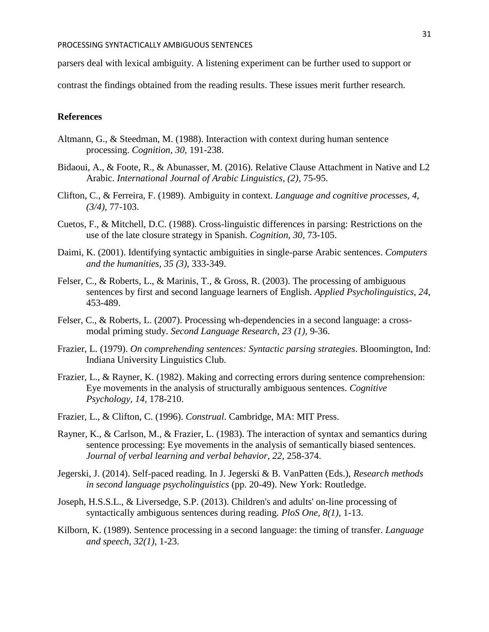parsers deal with lexical ambiguity. A listening experiment can be further used to support or

contrast the findings obtained from the reading results. These issues merit further research.

## <span id="page-30-0"></span>**References**

- Altmann, G., & Steedman, M. (1988). Interaction with context during human sentence processing. *Cognition, 30,* 191-238.
- Bidaoui, A., & Foote, R., & Abunasser, M. (2016). Relative Clause Attachment in Native and L2 Arabic. *International Journal of Arabic Linguistics, (2),* 75-95.
- Clifton, C., & Ferreira, F. (1989). Ambiguity in context. *Language and cognitive processes, 4, (3/4),* 77-103.
- Cuetos, F., & Mitchell, D.C. (1988). Cross-linguistic differences in parsing: Restrictions on the use of the late closure strategy in Spanish. *Cognition, 30,* 73-105.
- Daimi, K. (2001). Identifying syntactic ambiguities in single-parse Arabic sentences. *Computers and the humanities, 35 (3),* 333-349.
- Felser, C., & Roberts, L., & Marinis, T., & Gross, R. (2003). The processing of ambiguous sentences by first and second language learners of English. *Applied Psycholinguistics, 24,*  453-489.
- Felser, C., & Roberts, L. (2007). Processing wh-dependencies in a second language: a crossmodal priming study. *Second Language Research, 23 (1),* 9-36.
- Frazier, L. (1979). *On comprehending sentences: Syntactic parsing strategies*. Bloomington, Ind: Indiana University Linguistics Club.
- Frazier, L., & Rayner, K. (1982). Making and correcting errors during sentence comprehension: Eye movements in the analysis of structurally ambiguous sentences. *Cognitive Psychology, 14,* 178-210.
- Frazier, L., & Clifton, C. (1996). *Construal*. Cambridge, MA: MIT Press.
- Rayner, K., & Carlson, M., & Frazier, L. (1983). The interaction of syntax and semantics during sentence processing: Eye movements in the analysis of semantically biased sentences. *Journal of verbal learning and verbal behavior, 22,* 258-374.
- Jegerski, J. (2014). Self-paced reading. In J. Jegerski & B. VanPatten (Eds.), *Research methods in second language psycholinguistics* (pp. 20-49). New York: Routledge.
- Joseph, H.S.S.L., & Liversedge, S.P. (2013). Children's and adults' on-line processing of syntactically ambiguous sentences during reading. *PloS One, 8(1),* 1-13.
- Kilborn, K. (1989). Sentence processing in a second language: the timing of transfer. *Language and speech, 32(1),* 1-23.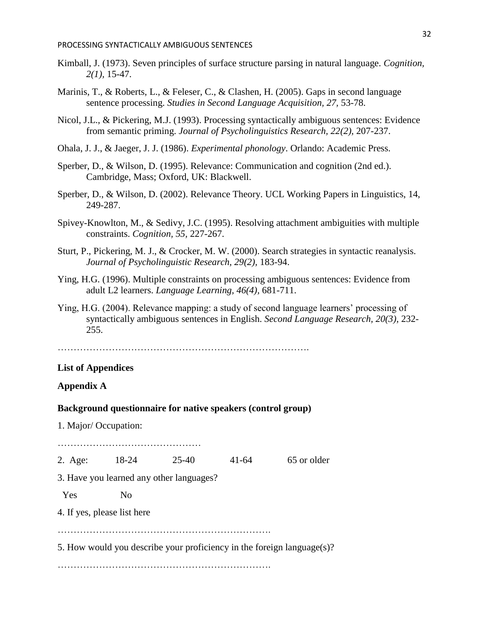- Kimball, J. (1973). Seven principles of surface structure parsing in natural language. *Cognition, 2(1),* 15-47.
- Marinis, T., & Roberts, L., & Feleser, C., & Clashen, H. (2005). Gaps in second language sentence processing. *Studies in Second Language Acquisition, 27,* 53-78.
- Nicol, J.L., & Pickering, M.J. (1993). Processing syntactically ambiguous sentences: Evidence from semantic priming. *Journal of Psycholinguistics Research, 22(2),* 207-237.
- Ohala, J. J., & Jaeger, J. J. (1986). *Experimental phonology*. Orlando: Academic Press.
- Sperber, D., & Wilson, D. (1995). Relevance: Communication and cognition (2nd ed.). Cambridge, Mass; Oxford, UK: Blackwell.
- Sperber, D., & Wilson, D. (2002). Relevance Theory. UCL Working Papers in Linguistics, 14, 249-287.
- Spivey-Knowlton, M., & Sedivy, J.C. (1995). Resolving attachment ambiguities with multiple constraints. *Cognition, 55,* 227-267.
- Sturt, P., Pickering, M. J., & Crocker, M. W. (2000). Search strategies in syntactic reanalysis. *Journal of Psycholinguistic Research, 29(2),* 183-94.
- Ying, H.G. (1996). Multiple constraints on processing ambiguous sentences: Evidence from adult L2 learners. *Language Learning, 46(4),* 681-711.
- Ying, H.G. (2004). Relevance mapping: a study of second language learners' processing of syntactically ambiguous sentences in English. *Second Language Research, 20(3),* 232- 255.

…………………………………………………………………….

## <span id="page-31-0"></span>**List of Appendices**

# <span id="page-31-1"></span>**Appendix A**

#### **Background questionnaire for native speakers (control group)**

1. Major/ Occupation:

2. Age: 18-24 25-40 41-64 65 or older

3. Have you learned any other languages?

……………………………………………

Yes No

4. If yes, please list here

………………………………………………………….

5. How would you describe your proficiency in the foreign language(s)?

………………………………………………………….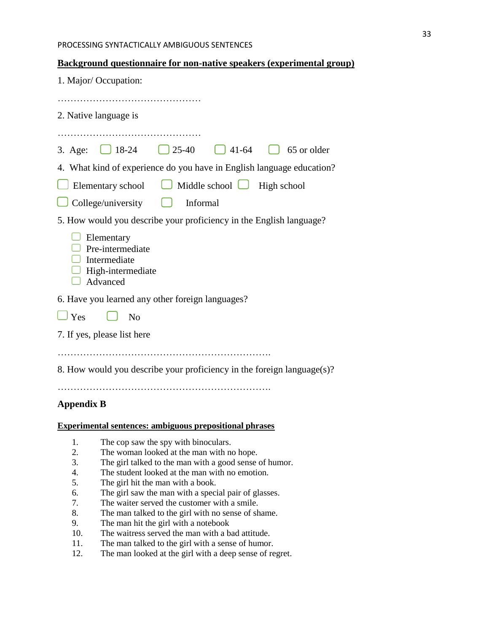## **Background questionnaire for non-native speakers (experimental group)**

| 1. Major/Occupation:                                                                                         |
|--------------------------------------------------------------------------------------------------------------|
| 2. Native language is                                                                                        |
|                                                                                                              |
| $\Box$ 18-24<br>$\bigcup$ 25-40<br>$\begin{bmatrix} 1 & 4 & 1 & -64 \end{bmatrix}$<br>65 or older<br>3. Age: |
| 4. What kind of experience do you have in English language education?                                        |
| $\Box$ Middle school $\Box$<br>Elementary school<br>High school                                              |
| College/university<br>Informal                                                                               |
| 5. How would you describe your proficiency in the English language?                                          |
| Elementary<br>Pre-intermediate<br>Intermediate<br>High-intermediate<br>Advanced                              |
| 6. Have you learned any other foreign languages?                                                             |
| $J$ Yes<br>N <sub>0</sub><br>$\mathsf{I}$                                                                    |
| 7. If yes, please list here                                                                                  |
| 8. How would you describe your proficiency in the foreign language(s)?                                       |
| <b>Appendix B</b>                                                                                            |

<span id="page-32-0"></span>**Experimental sentences: ambiguous prepositional phrases** 

- 1. The cop saw the spy with binoculars.
- 2. The woman looked at the man with no hope.
- 3. The girl talked to the man with a good sense of humor.
- 4. The student looked at the man with no emotion.
- 5. The girl hit the man with a book.
- 6. The girl saw the man with a special pair of glasses.
- 7. The waiter served the customer with a smile.
- 8. The man talked to the girl with no sense of shame.
- 9. The man hit the girl with a notebook
- 10. The waitress served the man with a bad attitude.
- 11. The man talked to the girl with a sense of humor.
- 12. The man looked at the girl with a deep sense of regret.